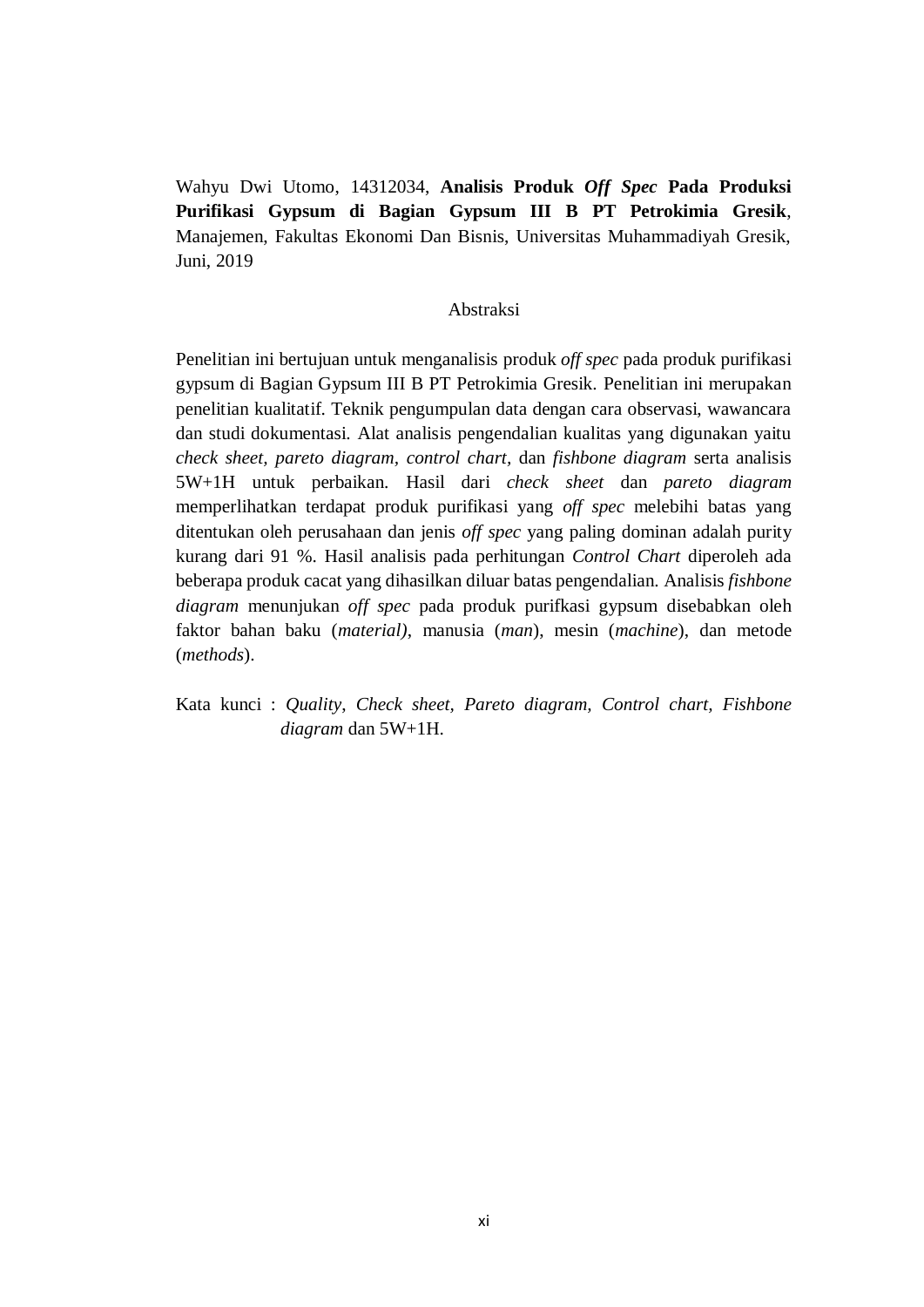Wahyu Dwi Utomo, 14312034, **Analisis Produk** *Off Spec* **Pada Produksi Purifikasi Gypsum di Bagian Gypsum III B PT Petrokimia Gresik**, Manajemen, Fakultas Ekonomi Dan Bisnis, Universitas Muhammadiyah Gresik, Juni, 2019

## Abstraksi

Penelitian ini bertujuan untuk menganalisis produk *off spec* pada produk purifikasi gypsum di Bagian Gypsum III B PT Petrokimia Gresik. Penelitian ini merupakan penelitian kualitatif. Teknik pengumpulan data dengan cara observasi, wawancara dan studi dokumentasi. Alat analisis pengendalian kualitas yang digunakan yaitu *check sheet, pareto diagram, control chart,* dan *fishbone diagram* serta analisis 5W+1H untuk perbaikan. Hasil dari *check sheet* dan *pareto diagram* memperlihatkan terdapat produk purifikasi yang *off spec* melebihi batas yang ditentukan oleh perusahaan dan jenis *off spec* yang paling dominan adalah purity kurang dari 91 %. Hasil analisis pada perhitungan *Control Chart* diperoleh ada beberapa produk cacat yang dihasilkan diluar batas pengendalian. Analisis *fishbone diagram* menunjukan *off spec* pada produk purifkasi gypsum disebabkan oleh faktor bahan baku (*material)*, manusia (*man*), mesin (*machine*), dan metode (*methods*).

Kata kunci : *Quality*, *Check sheet, Pareto diagram, Control chart, Fishbone diagram* dan 5W+1H.